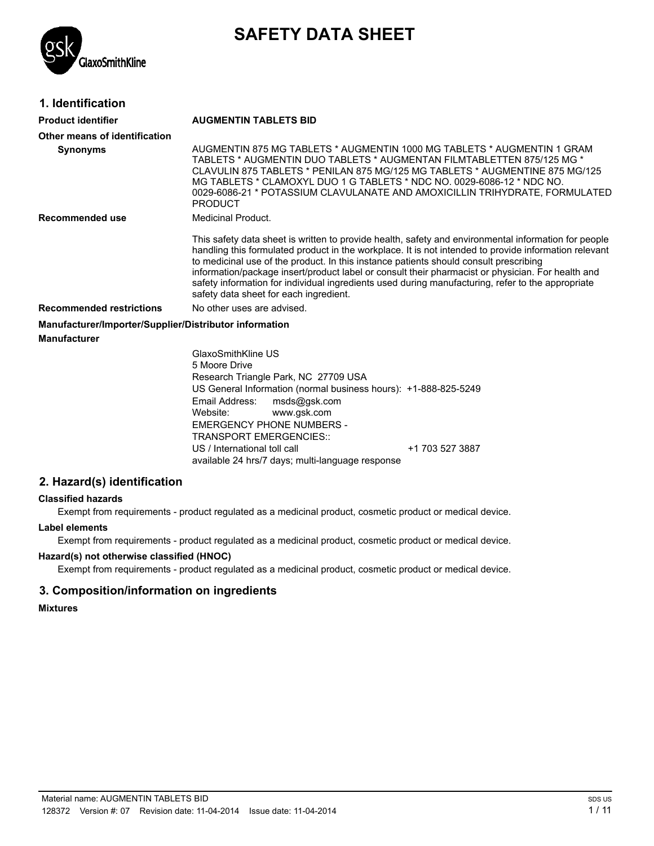

# **SAFETY DATA SHEET**

### **1. Identification**

| Product identifier                                     | <b>AUGMENTIN TABLETS BID</b>                                                                                                                                                                                                                                                                                                                                                                                                                                                                                                                               |  |
|--------------------------------------------------------|------------------------------------------------------------------------------------------------------------------------------------------------------------------------------------------------------------------------------------------------------------------------------------------------------------------------------------------------------------------------------------------------------------------------------------------------------------------------------------------------------------------------------------------------------------|--|
| Other means of identification                          |                                                                                                                                                                                                                                                                                                                                                                                                                                                                                                                                                            |  |
| <b>Synonyms</b>                                        | AUGMENTIN 875 MG TABLETS * AUGMENTIN 1000 MG TABLETS * AUGMENTIN 1 GRAM<br>TABLETS * AUGMENTIN DUO TABLETS * AUGMENTAN FILMTABLETTEN 875/125 MG *<br>CLAVULIN 875 TABLETS * PENILAN 875 MG/125 MG TABLETS * AUGMENTINE 875 MG/125<br>MG TABLETS * CLAMOXYL DUO 1 G TABLETS * NDC NO. 0029-6086-12 * NDC NO.<br>0029-6086-21 * POTASSIUM CLAVULANATE AND AMOXICILLIN TRIHYDRATE, FORMULATED<br><b>PRODUCT</b>                                                                                                                                               |  |
| Recommended use                                        | <b>Medicinal Product.</b>                                                                                                                                                                                                                                                                                                                                                                                                                                                                                                                                  |  |
|                                                        | This safety data sheet is written to provide health, safety and environmental information for people<br>handling this formulated product in the workplace. It is not intended to provide information relevant<br>to medicinal use of the product. In this instance patients should consult prescribing<br>information/package insert/product label or consult their pharmacist or physician. For health and<br>safety information for individual ingredients used during manufacturing, refer to the appropriate<br>safety data sheet for each ingredient. |  |
| <b>Recommended restrictions</b>                        | No other uses are advised.                                                                                                                                                                                                                                                                                                                                                                                                                                                                                                                                 |  |
| Manufacturer/Importer/Supplier/Distributor information |                                                                                                                                                                                                                                                                                                                                                                                                                                                                                                                                                            |  |
| Manufacturer                                           |                                                                                                                                                                                                                                                                                                                                                                                                                                                                                                                                                            |  |
|                                                        | GlaxoSmithKline US<br>5 Moore Drive<br>Research Triangle Park, NC 27709 USA<br>US General Information (normal business hours): +1-888-825-5249<br>Email Address:<br>msds@gsk.com<br>Website:<br>www.gsk.com<br><b>EMERGENCY PHONE NUMBERS -</b>                                                                                                                                                                                                                                                                                                            |  |

US / International toll call  $+1$  703 527 3887 available 24 hrs/7 days; multi-language response

# **2. Hazard(s) identification**

### **Classified hazards**

Exempt from requirements - product regulated as a medicinal product, cosmetic product or medical device.

TRANSPORT EMERGENCIES::

### **Label elements**

Exempt from requirements - product regulated as a medicinal product, cosmetic product or medical device.

### **Hazard(s) not otherwise classified (HNOC)**

Exempt from requirements - product regulated as a medicinal product, cosmetic product or medical device.

# **3. Composition/information on ingredients**

### **Mixtures**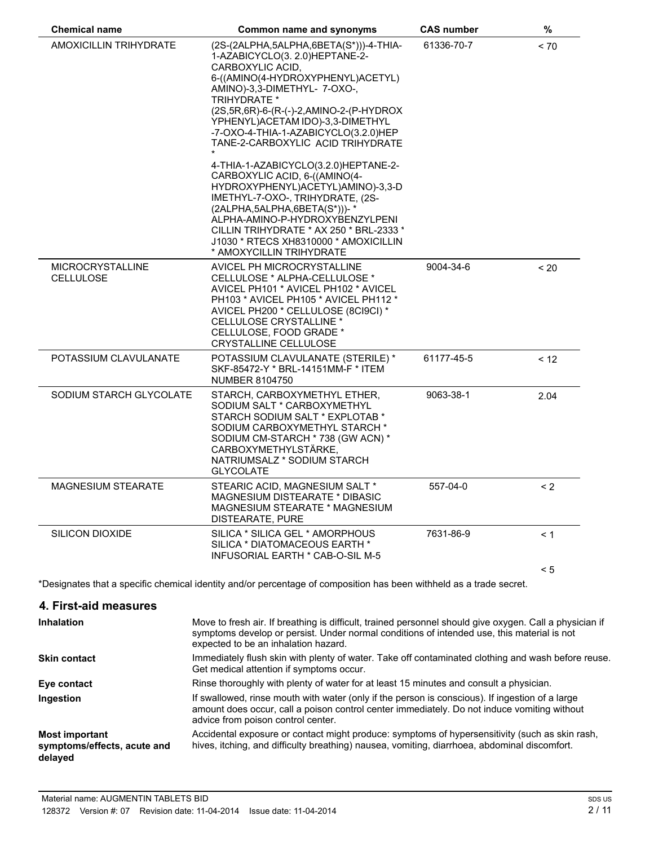| <b>Chemical name</b>                        | <b>Common name and synonyms</b>                                                                                                                                                                                                                                                                                                                                                                                                                                                                                                                                                                                                                                                                | <b>CAS number</b> | $\%$     |
|---------------------------------------------|------------------------------------------------------------------------------------------------------------------------------------------------------------------------------------------------------------------------------------------------------------------------------------------------------------------------------------------------------------------------------------------------------------------------------------------------------------------------------------------------------------------------------------------------------------------------------------------------------------------------------------------------------------------------------------------------|-------------------|----------|
| AMOXICILLIN TRIHYDRATE                      | (2S-(2ALPHA,5ALPHA,6BETA(S*)))-4-THIA-<br>1-AZABICYCLO(3. 2.0)HEPTANE-2-<br>CARBOXYLIC ACID.<br>6-((AMINO(4-HYDROXYPHENYL)ACETYL)<br>AMINO)-3,3-DIMETHYL-7-OXO-,<br><b>TRIHYDRATE *</b><br>(2S, 5R, 6R)-6-(R-(-)-2, AMINO-2-(P-HYDROX<br>YPHENYL) ACETAM IDO)-3,3-DIMETHYL<br>-7-OXO-4-THIA-1-AZABICYCLO(3.2.0)HEP<br>TANE-2-CARBOXYLIC ACID TRIHYDRATE<br>4-THIA-1-AZABICYCLO(3.2.0)HEPTANE-2-<br>CARBOXYLIC ACID, 6-((AMINO(4-<br>HYDROXYPHENYL)ACETYL)AMINO)-3,3-D<br>IMETHYL-7-OXO-, TRIHYDRATE, (2S-<br>(2ALPHA, 5ALPHA, 6BETA(S*)))-*<br>ALPHA-AMINO-P-HYDROXYBENZYLPENI<br>CILLIN TRIHYDRATE * AX 250 * BRL-2333 *<br>J1030 * RTECS XH8310000 * AMOXICILLIN<br>* AMOXYCILLIN TRIHYDRATE | 61336-70-7        | ~170     |
| <b>MICROCRYSTALLINE</b><br><b>CELLULOSE</b> | AVICEL PH MICROCRYSTALLINE<br>CELLULOSE * ALPHA-CELLULOSE *<br>AVICEL PH101 * AVICEL PH102 * AVICEL<br>PH103 * AVICEL PH105 * AVICEL PH112 *<br>AVICEL PH200 * CELLULOSE (8CI9CI) *<br>CELLULOSE CRYSTALLINE *<br>CELLULOSE, FOOD GRADE *<br>CRYSTALLINE CELLULOSE                                                                                                                                                                                                                                                                                                                                                                                                                             | 9004-34-6         | ~120     |
| POTASSIUM CLAVULANATE                       | POTASSIUM CLAVULANATE (STERILE) *<br>SKF-85472-Y * BRL-14151MM-F * ITEM<br><b>NUMBER 8104750</b>                                                                                                                                                                                                                                                                                                                                                                                                                                                                                                                                                                                               | 61177-45-5        | < 12     |
| SODIUM STARCH GLYCOLATE                     | STARCH, CARBOXYMETHYL ETHER,<br>SODIUM SALT * CARBOXYMETHYL<br>STARCH SODIUM SALT * EXPLOTAB *<br>SODIUM CARBOXYMETHYL STARCH *<br>SODIUM CM-STARCH * 738 (GW ACN) *<br>CARBOXYMETHYLSTÄRKE,<br>NATRIUMSALZ * SODIUM STARCH<br><b>GLYCOLATE</b>                                                                                                                                                                                                                                                                                                                                                                                                                                                | 9063-38-1         | 2.04     |
| <b>MAGNESIUM STEARATE</b>                   | STEARIC ACID, MAGNESIUM SALT *<br><b>MAGNESIUM DISTEARATE * DIBASIC</b><br><b>MAGNESIUM STEARATE * MAGNESIUM</b><br>DISTEARATE, PURE                                                                                                                                                                                                                                                                                                                                                                                                                                                                                                                                                           | 557-04-0          | $\leq$ 2 |
| SILICON DIOXIDE                             | SILICA * SILICA GEL * AMORPHOUS<br>SILICA * DIATOMACEOUS EARTH *<br>INFUSORIAL EARTH * CAB-O-SIL M-5                                                                                                                                                                                                                                                                                                                                                                                                                                                                                                                                                                                           | 7631-86-9         | < 1      |
|                                             |                                                                                                                                                                                                                                                                                                                                                                                                                                                                                                                                                                                                                                                                                                |                   | < 5      |

\*Designates that a specific chemical identity and/or percentage of composition has been withheld as a trade secret.

| 4. First-aid measures                                           |                                                                                                                                                                                                                                               |
|-----------------------------------------------------------------|-----------------------------------------------------------------------------------------------------------------------------------------------------------------------------------------------------------------------------------------------|
| <b>Inhalation</b>                                               | Move to fresh air. If breathing is difficult, trained personnel should give oxygen. Call a physician if<br>symptoms develop or persist. Under normal conditions of intended use, this material is not<br>expected to be an inhalation hazard. |
| <b>Skin contact</b>                                             | Immediately flush skin with plenty of water. Take off contaminated clothing and wash before reuse.<br>Get medical attention if symptoms occur.                                                                                                |
| Eye contact                                                     | Rinse thoroughly with plenty of water for at least 15 minutes and consult a physician.                                                                                                                                                        |
| Ingestion                                                       | If swallowed, rinse mouth with water (only if the person is conscious). If ingestion of a large<br>amount does occur, call a poison control center immediately. Do not induce vomiting without<br>advice from poison control center.          |
| <b>Most important</b><br>symptoms/effects, acute and<br>delayed | Accidental exposure or contact might produce: symptoms of hypersensitivity (such as skin rash,<br>hives, itching, and difficulty breathing) nausea, vomiting, diarrhoea, abdominal discomfort.                                                |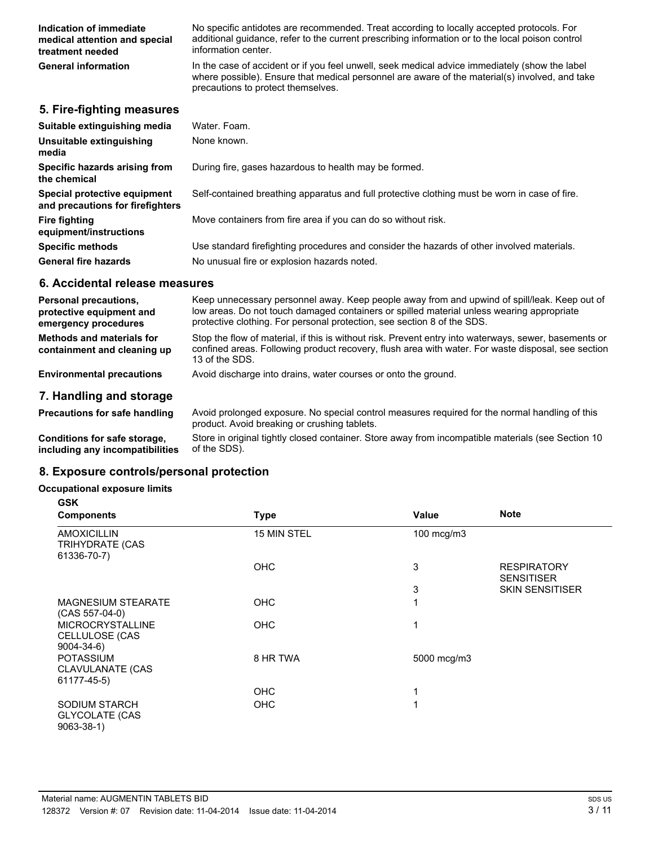| Indication of immediate<br>medical attention and special<br>treatment needed | No specific antidotes are recommended. Treat according to locally accepted protocols. For<br>additional quidance, refer to the current prescribing information or to the local poison control<br>information center.                   |
|------------------------------------------------------------------------------|----------------------------------------------------------------------------------------------------------------------------------------------------------------------------------------------------------------------------------------|
| <b>General information</b>                                                   | In the case of accident or if you feel unwell, seek medical advice immediately (show the label<br>where possible). Ensure that medical personnel are aware of the material(s) involved, and take<br>precautions to protect themselves. |
| 5. Fire-fighting measures                                                    |                                                                                                                                                                                                                                        |

| Suitable extinguishing media                                     | Water, Foam.                                                                                  |
|------------------------------------------------------------------|-----------------------------------------------------------------------------------------------|
| Unsuitable extinguishing<br>media                                | None known.                                                                                   |
| Specific hazards arising from<br>the chemical                    | During fire, gases hazardous to health may be formed.                                         |
| Special protective equipment<br>and precautions for firefighters | Self-contained breathing apparatus and full protective clothing must be worn in case of fire. |
| Fire fighting<br>equipment/instructions                          | Move containers from fire area if you can do so without risk.                                 |
| <b>Specific methods</b>                                          | Use standard firefighting procedures and consider the hazards of other involved materials.    |
| <b>General fire hazards</b>                                      | No unusual fire or explosion hazards noted.                                                   |

#### **6. Accidental release measures**

| <b>Personal precautions,</b><br>protective equipment and<br>emergency procedures | Keep unnecessary personnel away. Keep people away from and upwind of spill/leak. Keep out of<br>low areas. Do not touch damaged containers or spilled material unless wearing appropriate<br>protective clothing. For personal protection, see section 8 of the SDS. |
|----------------------------------------------------------------------------------|----------------------------------------------------------------------------------------------------------------------------------------------------------------------------------------------------------------------------------------------------------------------|
| Methods and materials for<br>containment and cleaning up                         | Stop the flow of material, if this is without risk. Prevent entry into waterways, sewer, basements or<br>confined areas. Following product recovery, flush area with water. For waste disposal, see section<br>13 of the SDS.                                        |
| <b>Environmental precautions</b>                                                 | Avoid discharge into drains, water courses or onto the ground.                                                                                                                                                                                                       |
| 7. Handling and storage                                                          |                                                                                                                                                                                                                                                                      |

Precautions for safe handling Avoid prolonged exposure. No special control measures required for the normal handling of this product. Avoid breaking or crushing tablets.

**Conditions for safe storage, including any incompatibilities** Store in original tightly closed container. Store away from incompatible materials (see Section 10 of the SDS).

#### **8. Exposure controls/personal protection**

#### **Occupational exposure limits GSK**

| <b>Components</b>                                                | <b>Type</b> | Value       | <b>Note</b>                             |
|------------------------------------------------------------------|-------------|-------------|-----------------------------------------|
| <b>AMOXICILLIN</b><br><b>TRIHYDRATE (CAS</b><br>61336-70-7)      | 15 MIN STEL | 100 mcg/m3  |                                         |
|                                                                  | <b>OHC</b>  | 3           | <b>RESPIRATORY</b><br><b>SENSITISER</b> |
|                                                                  |             | 3           | <b>SKIN SENSITISER</b>                  |
| <b>MAGNESIUM STEARATE</b><br>$(CAS 557-04-0)$                    | <b>OHC</b>  | 1           |                                         |
| <b>MICROCRYSTALLINE</b><br>CELLULOSE (CAS<br>$9004 - 34 - 6$     | <b>OHC</b>  | 1           |                                         |
| <b>POTASSIUM</b><br>CLAVULANATE (CAS<br>61177-45-5)              | 8 HR TWA    | 5000 mcg/m3 |                                         |
|                                                                  | <b>OHC</b>  | 1           |                                         |
| <b>SODIUM STARCH</b><br><b>GLYCOLATE (CAS</b><br>$9063 - 38 - 1$ | OHC         | 1           |                                         |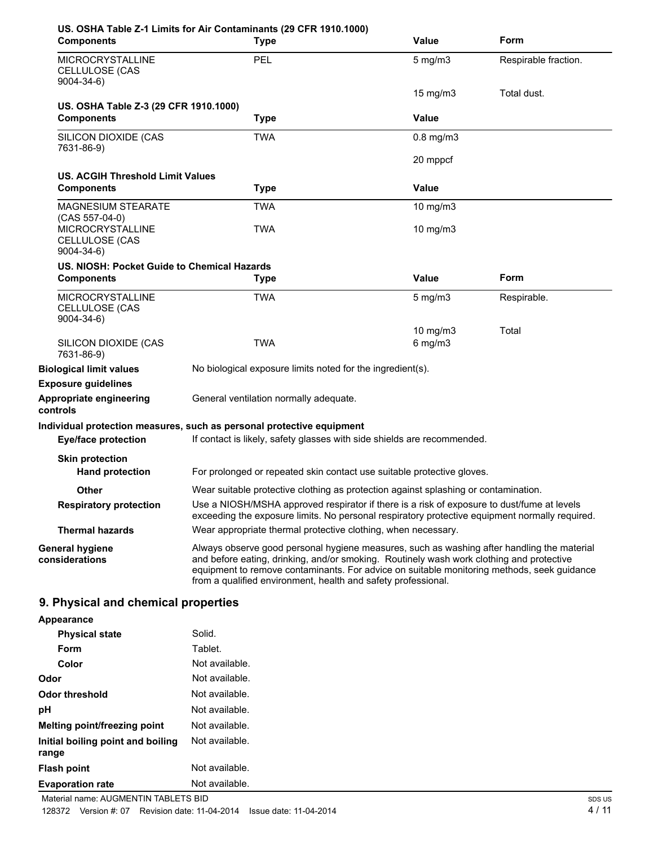| <b>Components</b>                                                | US. OSHA Table Z-1 Limits for Air Contaminants (29 CFR 1910.1000)<br><b>Type</b>                                                                                                                                                                                                                                                                      | <b>Value</b>      | Form                 |
|------------------------------------------------------------------|-------------------------------------------------------------------------------------------------------------------------------------------------------------------------------------------------------------------------------------------------------------------------------------------------------------------------------------------------------|-------------------|----------------------|
| <b>MICROCRYSTALLINE</b><br>CELLULOSE (CAS<br>$9004 - 34 - 6$     | <b>PEL</b>                                                                                                                                                                                                                                                                                                                                            | $5 \text{ mg/m}$  | Respirable fraction. |
|                                                                  |                                                                                                                                                                                                                                                                                                                                                       | $15 \text{ mg/m}$ | Total dust.          |
| US. OSHA Table Z-3 (29 CFR 1910.1000)<br><b>Components</b>       | <b>Type</b>                                                                                                                                                                                                                                                                                                                                           | <b>Value</b>      |                      |
| SILICON DIOXIDE (CAS                                             | <b>TWA</b>                                                                                                                                                                                                                                                                                                                                            | $0.8$ mg/m $3$    |                      |
| 7631-86-9)                                                       |                                                                                                                                                                                                                                                                                                                                                       |                   |                      |
|                                                                  |                                                                                                                                                                                                                                                                                                                                                       | 20 mppcf          |                      |
| US. ACGIH Threshold Limit Values                                 |                                                                                                                                                                                                                                                                                                                                                       |                   |                      |
| <b>Components</b>                                                | <b>Type</b>                                                                                                                                                                                                                                                                                                                                           | Value             |                      |
| <b>MAGNESIUM STEARATE</b><br>$(CAS 557-04-0)$                    | TWA                                                                                                                                                                                                                                                                                                                                                   | 10 mg/m3          |                      |
| <b>MICROCRYSTALLINE</b><br>CELLULOSE (CAS<br>$9004 - 34 - 6$     | TWA                                                                                                                                                                                                                                                                                                                                                   | 10 mg/m3          |                      |
| US. NIOSH: Pocket Guide to Chemical Hazards<br><b>Components</b> | <b>Type</b>                                                                                                                                                                                                                                                                                                                                           | <b>Value</b>      | Form                 |
| <b>MICROCRYSTALLINE</b><br>CELLULOSE (CAS<br>$9004 - 34 - 6$     | <b>TWA</b>                                                                                                                                                                                                                                                                                                                                            | $5 \text{ mg/m}$  | Respirable.          |
|                                                                  |                                                                                                                                                                                                                                                                                                                                                       | 10 mg/m3          | Total                |
| SILICON DIOXIDE (CAS<br>7631-86-9)                               | <b>TWA</b>                                                                                                                                                                                                                                                                                                                                            | $6$ mg/m $3$      |                      |
| <b>Biological limit values</b>                                   | No biological exposure limits noted for the ingredient(s).                                                                                                                                                                                                                                                                                            |                   |                      |
| <b>Exposure guidelines</b>                                       |                                                                                                                                                                                                                                                                                                                                                       |                   |                      |
| Appropriate engineering<br>controls                              | General ventilation normally adequate.                                                                                                                                                                                                                                                                                                                |                   |                      |
|                                                                  | Individual protection measures, such as personal protective equipment                                                                                                                                                                                                                                                                                 |                   |                      |
| <b>Eye/face protection</b>                                       | If contact is likely, safety glasses with side shields are recommended.                                                                                                                                                                                                                                                                               |                   |                      |
| <b>Skin protection</b>                                           |                                                                                                                                                                                                                                                                                                                                                       |                   |                      |
| <b>Hand protection</b>                                           | For prolonged or repeated skin contact use suitable protective gloves.                                                                                                                                                                                                                                                                                |                   |                      |
| <b>Other</b>                                                     | Wear suitable protective clothing as protection against splashing or contamination.                                                                                                                                                                                                                                                                   |                   |                      |
| <b>Respiratory protection</b>                                    | Use a NIOSH/MSHA approved respirator if there is a risk of exposure to dust/fume at levels<br>exceeding the exposure limits. No personal respiratory protective equipment normally required.                                                                                                                                                          |                   |                      |
| <b>Thermal hazards</b>                                           | Wear appropriate thermal protective clothing, when necessary.                                                                                                                                                                                                                                                                                         |                   |                      |
| <b>General hygiene</b><br>considerations                         | Always observe good personal hygiene measures, such as washing after handling the material<br>and before eating, drinking, and/or smoking. Routinely wash work clothing and protective<br>equipment to remove contaminants. For advice on suitable monitoring methods, seek guidance<br>from a qualified environment, health and safety professional. |                   |                      |
| 9. Physical and chemical properties                              |                                                                                                                                                                                                                                                                                                                                                       |                   |                      |
| Appearance                                                       |                                                                                                                                                                                                                                                                                                                                                       |                   |                      |

| <b>Physical state</b>                      | Solid.         |
|--------------------------------------------|----------------|
| Form                                       | Tablet.        |
| Color                                      | Not available. |
| Odor                                       | Not available. |
| Odor threshold                             | Not available. |
| рH                                         | Not available. |
| Melting point/freezing point               | Not available. |
| Initial boiling point and boiling<br>range | Not available. |
| <b>Flash point</b>                         | Not available. |
| <b>Evaporation rate</b>                    | Not available. |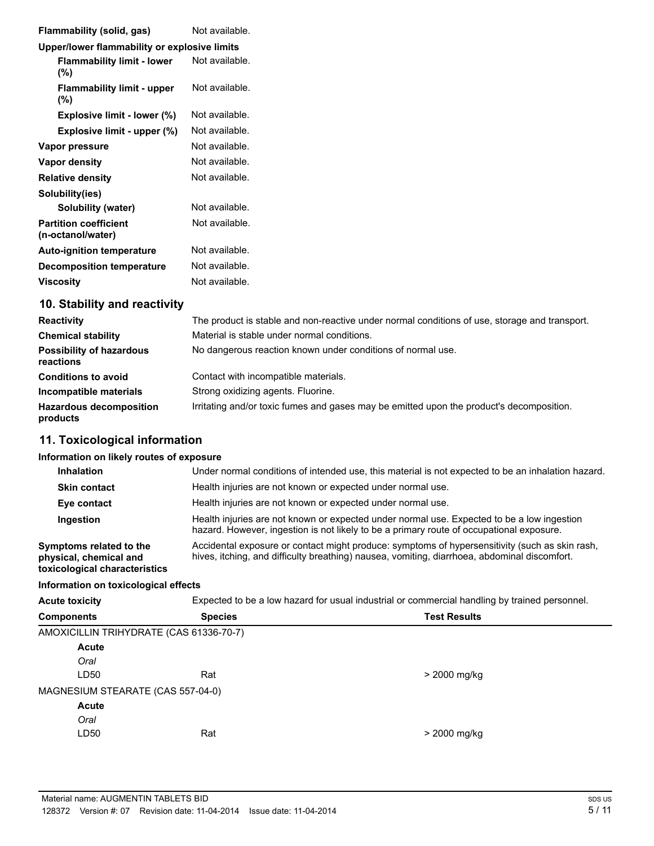| <b>Flammability (solid, gas)</b>                  | Not available. |
|---------------------------------------------------|----------------|
| Upper/lower flammability or explosive limits      |                |
| <b>Flammability limit - lower</b><br>(%)          | Not available. |
| <b>Flammability limit - upper</b><br>(%)          | Not available. |
| Explosive limit - lower (%)                       | Not available. |
| Explosive limit - upper (%)                       | Not available. |
| Vapor pressure                                    | Not available. |
| <b>Vapor density</b>                              | Not available. |
| <b>Relative density</b>                           | Not available. |
| Solubility(ies)                                   |                |
| Solubility (water)                                | Not available. |
| <b>Partition coefficient</b><br>(n-octanol/water) | Not available. |
| <b>Auto-ignition temperature</b>                  | Not available. |
| <b>Decomposition temperature</b>                  | Not available. |
| <b>Viscosity</b>                                  | Not available. |

## **10. Stability and reactivity**

| <b>Reactivity</b>                            | The product is stable and non-reactive under normal conditions of use, storage and transport. |  |  |
|----------------------------------------------|-----------------------------------------------------------------------------------------------|--|--|
| <b>Chemical stability</b>                    | Material is stable under normal conditions.                                                   |  |  |
| <b>Possibility of hazardous</b><br>reactions | No dangerous reaction known under conditions of normal use.                                   |  |  |
| <b>Conditions to avoid</b>                   | Contact with incompatible materials.                                                          |  |  |
| Incompatible materials                       | Strong oxidizing agents. Fluorine.                                                            |  |  |
| <b>Hazardous decomposition</b><br>products   | Irritating and/or toxic fumes and gases may be emitted upon the product's decomposition.      |  |  |

## **11. Toxicological information**

#### **Information on likely routes of exposure**

|                                                                                                                                                                                                | Under normal conditions of intended use, this material is not expected to be an inhalation hazard. |
|------------------------------------------------------------------------------------------------------------------------------------------------------------------------------------------------|----------------------------------------------------------------------------------------------------|
|                                                                                                                                                                                                |                                                                                                    |
|                                                                                                                                                                                                | Health injuries are not known or expected under normal use.                                        |
| Health injuries are not known or expected under normal use.                                                                                                                                    |                                                                                                    |
| Health injuries are not known or expected under normal use. Expected to be a low ingestion<br>hazard. However, ingestion is not likely to be a primary route of occupational exposure.         |                                                                                                    |
| Accidental exposure or contact might produce: symptoms of hypersensitivity (such as skin rash,<br>hives, itching, and difficulty breathing) nausea, vomiting, diarrhoea, abdominal discomfort. |                                                                                                    |
| Information on toxicological effects                                                                                                                                                           |                                                                                                    |
|                                                                                                                                                                                                | Expected to be a low hazard for usual industrial or commercial handling by trained personnel.      |
| <b>Species</b>                                                                                                                                                                                 | <b>Test Results</b>                                                                                |
| AMOXICILLIN TRIHYDRATE (CAS 61336-70-7)                                                                                                                                                        |                                                                                                    |
|                                                                                                                                                                                                |                                                                                                    |
|                                                                                                                                                                                                |                                                                                                    |
| Rat                                                                                                                                                                                            | > 2000 mg/kg                                                                                       |
|                                                                                                                                                                                                |                                                                                                    |

MAGNESIUM STEARATE (CAS 557-04-0)

# **Acute**

| Oral |     |
|------|-----|
| LD50 | Rat |

> 2000 mg/kg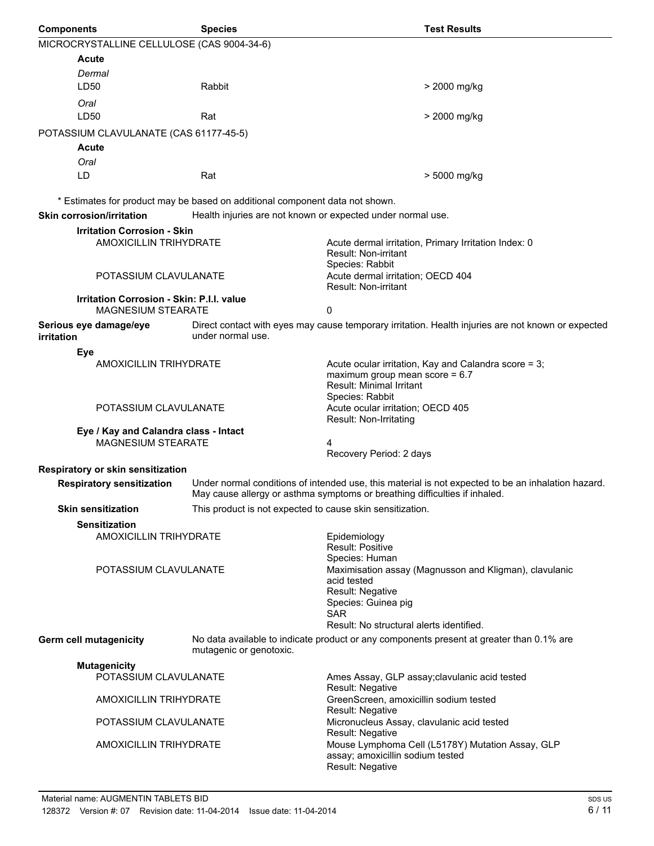| <b>Components</b>                                                      | <b>Species</b>                                                               | <b>Test Results</b>                                                                                                                                                        |  |  |
|------------------------------------------------------------------------|------------------------------------------------------------------------------|----------------------------------------------------------------------------------------------------------------------------------------------------------------------------|--|--|
| MICROCRYSTALLINE CELLULOSE (CAS 9004-34-6)                             |                                                                              |                                                                                                                                                                            |  |  |
| Acute                                                                  |                                                                              |                                                                                                                                                                            |  |  |
| Dermal                                                                 |                                                                              |                                                                                                                                                                            |  |  |
| LD50                                                                   | Rabbit                                                                       | > 2000 mg/kg                                                                                                                                                               |  |  |
| Oral                                                                   |                                                                              |                                                                                                                                                                            |  |  |
| LD <sub>50</sub>                                                       | Rat                                                                          | > 2000 mg/kg                                                                                                                                                               |  |  |
| POTASSIUM CLAVULANATE (CAS 61177-45-5)                                 |                                                                              |                                                                                                                                                                            |  |  |
| Acute                                                                  |                                                                              |                                                                                                                                                                            |  |  |
| Oral                                                                   |                                                                              |                                                                                                                                                                            |  |  |
| LD                                                                     | Rat                                                                          | > 5000 mg/kg                                                                                                                                                               |  |  |
|                                                                        | * Estimates for product may be based on additional component data not shown. |                                                                                                                                                                            |  |  |
| <b>Skin corrosion/irritation</b>                                       | Health injuries are not known or expected under normal use.                  |                                                                                                                                                                            |  |  |
| <b>Irritation Corrosion - Skin</b>                                     |                                                                              |                                                                                                                                                                            |  |  |
| <b>AMOXICILLIN TRIHYDRATE</b>                                          |                                                                              | Acute dermal irritation, Primary Irritation Index: 0<br>Result: Non-irritant<br>Species: Rabbit                                                                            |  |  |
| POTASSIUM CLAVULANATE                                                  |                                                                              | Acute dermal irritation; OECD 404<br>Result: Non-irritant                                                                                                                  |  |  |
| Irritation Corrosion - Skin: P.I.I. value<br><b>MAGNESIUM STEARATE</b> |                                                                              | 0                                                                                                                                                                          |  |  |
| Serious eye damage/eye<br><b>irritation</b>                            | under normal use.                                                            | Direct contact with eyes may cause temporary irritation. Health injuries are not known or expected                                                                         |  |  |
| Eye                                                                    |                                                                              |                                                                                                                                                                            |  |  |
| AMOXICILLIN TRIHYDRATE                                                 |                                                                              | Acute ocular irritation, Kay and Calandra score = 3;<br>maximum group mean score = $6.7$<br>Result: Minimal Irritant<br>Species: Rabbit                                    |  |  |
| POTASSIUM CLAVULANATE                                                  |                                                                              | Acute ocular irritation; OECD 405<br>Result: Non-Irritating                                                                                                                |  |  |
| Eye / Kay and Calandra class - Intact<br><b>MAGNESIUM STEARATE</b>     |                                                                              | 4<br>Recovery Period: 2 days                                                                                                                                               |  |  |
| Respiratory or skin sensitization                                      |                                                                              |                                                                                                                                                                            |  |  |
| <b>Respiratory sensitization</b>                                       |                                                                              | Under normal conditions of intended use, this material is not expected to be an inhalation hazard.                                                                         |  |  |
|                                                                        |                                                                              | May cause allergy or asthma symptoms or breathing difficulties if inhaled.                                                                                                 |  |  |
| <b>Skin sensitization</b>                                              | This product is not expected to cause skin sensitization.                    |                                                                                                                                                                            |  |  |
| <b>Sensitization</b>                                                   |                                                                              |                                                                                                                                                                            |  |  |
| <b>AMOXICILLIN TRIHYDRATE</b>                                          |                                                                              | Epidemiology<br>Result: Positive<br>Species: Human                                                                                                                         |  |  |
| POTASSIUM CLAVULANATE                                                  |                                                                              | Maximisation assay (Magnusson and Kligman), clavulanic<br>acid tested<br>Result: Negative<br>Species: Guinea pig<br><b>SAR</b><br>Result: No structural alerts identified. |  |  |
| Germ cell mutagenicity                                                 | mutagenic or genotoxic.                                                      | No data available to indicate product or any components present at greater than 0.1% are                                                                                   |  |  |
| <b>Mutagenicity</b>                                                    |                                                                              |                                                                                                                                                                            |  |  |
| POTASSIUM CLAVULANATE                                                  |                                                                              | Ames Assay, GLP assay; clavulanic acid tested<br>Result: Negative                                                                                                          |  |  |
| <b>AMOXICILLIN TRIHYDRATE</b>                                          |                                                                              | GreenScreen, amoxicillin sodium tested<br>Result: Negative                                                                                                                 |  |  |
| POTASSIUM CLAVULANATE                                                  |                                                                              | Micronucleus Assay, clavulanic acid tested<br>Result: Negative                                                                                                             |  |  |
| AMOXICILLIN TRIHYDRATE                                                 |                                                                              | Mouse Lymphoma Cell (L5178Y) Mutation Assay, GLP<br>assay; amoxicillin sodium tested<br>Result: Negative                                                                   |  |  |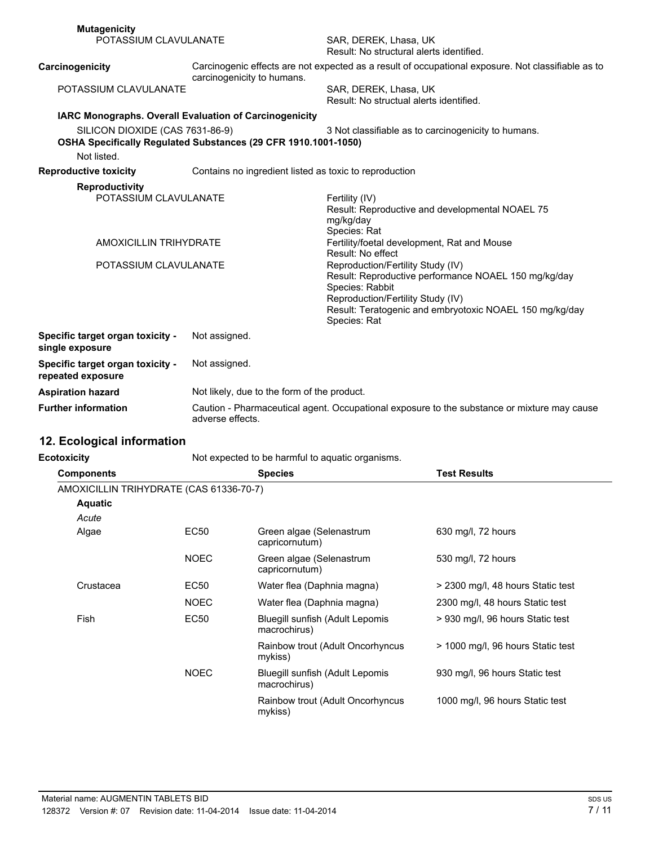| <b>Mutagenicity</b>                                                      |                                                                                                                 |                                                                                                                                                                                                                              |
|--------------------------------------------------------------------------|-----------------------------------------------------------------------------------------------------------------|------------------------------------------------------------------------------------------------------------------------------------------------------------------------------------------------------------------------------|
| POTASSIUM CLAVULANATE                                                    |                                                                                                                 | SAR, DEREK, Lhasa, UK<br>Result: No structural alerts identified.                                                                                                                                                            |
| Carcinogenicity<br>carcinogenicity to humans.                            |                                                                                                                 | Carcinogenic effects are not expected as a result of occupational exposure. Not classifiable as to                                                                                                                           |
| POTASSIUM CLAVULANATE                                                    |                                                                                                                 | SAR, DEREK, Lhasa, UK<br>Result: No structual alerts identified.                                                                                                                                                             |
| IARC Monographs. Overall Evaluation of Carcinogenicity                   |                                                                                                                 |                                                                                                                                                                                                                              |
| SILICON DIOXIDE (CAS 7631-86-9)<br>Not listed.                           | OSHA Specifically Regulated Substances (29 CFR 1910.1001-1050)                                                  | 3 Not classifiable as to carcinogenicity to humans.                                                                                                                                                                          |
| <b>Reproductive toxicity</b>                                             | Contains no ingredient listed as toxic to reproduction                                                          |                                                                                                                                                                                                                              |
| <b>Reproductivity</b>                                                    |                                                                                                                 |                                                                                                                                                                                                                              |
| POTASSIUM CLAVULANATE<br>AMOXICILLIN TRIHYDRATE<br>POTASSIUM CLAVULANATE |                                                                                                                 | Fertility (IV)<br>Result: Reproductive and developmental NOAEL 75<br>mg/kg/day<br>Species: Rat                                                                                                                               |
|                                                                          |                                                                                                                 | Fertility/foetal development, Rat and Mouse<br>Result: No effect                                                                                                                                                             |
|                                                                          |                                                                                                                 | Reproduction/Fertility Study (IV)<br>Result: Reproductive performance NOAEL 150 mg/kg/day<br>Species: Rabbit<br>Reproduction/Fertility Study (IV)<br>Result: Teratogenic and embryotoxic NOAEL 150 mg/kg/day<br>Species: Rat |
| Specific target organ toxicity -<br>single exposure                      | Not assigned.                                                                                                   |                                                                                                                                                                                                                              |
| Specific target organ toxicity -<br>repeated exposure                    | Not assigned.                                                                                                   |                                                                                                                                                                                                                              |
| <b>Aspiration hazard</b>                                                 | Not likely, due to the form of the product.                                                                     |                                                                                                                                                                                                                              |
| <b>Further information</b>                                               | Caution - Pharmaceutical agent. Occupational exposure to the substance or mixture may cause<br>adverse effects. |                                                                                                                                                                                                                              |

## **12. Ecological information**

**Ecotoxicity Not expected to be harmful to aquatic organisms.** 

| <b>Components</b>                       |             | <b>Species</b>                                  | <b>Test Results</b>               |
|-----------------------------------------|-------------|-------------------------------------------------|-----------------------------------|
| AMOXICILLIN TRIHYDRATE (CAS 61336-70-7) |             |                                                 |                                   |
| <b>Aquatic</b>                          |             |                                                 |                                   |
| Acute                                   |             |                                                 |                                   |
| Algae                                   | EC50        | Green algae (Selenastrum<br>capricornutum)      | 630 mg/l, 72 hours                |
|                                         | <b>NOEC</b> | Green algae (Selenastrum<br>capricornutum)      | 530 mg/l, 72 hours                |
| Crustacea                               | EC50        | Water flea (Daphnia magna)                      | > 2300 mg/l, 48 hours Static test |
|                                         | <b>NOEC</b> | Water flea (Daphnia magna)                      | 2300 mg/l, 48 hours Static test   |
| Fish                                    | EC50        | Bluegill sunfish (Adult Lepomis<br>macrochirus) | > 930 mg/l, 96 hours Static test  |
|                                         |             | Rainbow trout (Adult Oncorhyncus<br>mykiss)     | > 1000 mg/l, 96 hours Static test |
|                                         | <b>NOEC</b> | Bluegill sunfish (Adult Lepomis<br>macrochirus) | 930 mg/l, 96 hours Static test    |
|                                         |             | Rainbow trout (Adult Oncorhyncus<br>mykiss)     | 1000 mg/l, 96 hours Static test   |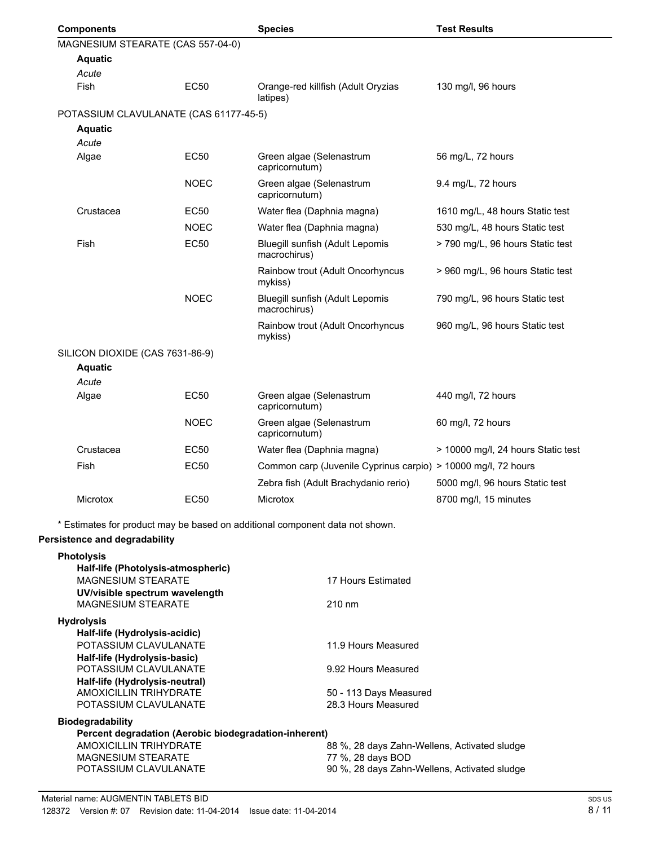|  | <b>Components</b>                      |             | <b>Species</b>                                                | <b>Test Results</b>                |
|--|----------------------------------------|-------------|---------------------------------------------------------------|------------------------------------|
|  | MAGNESIUM STEARATE (CAS 557-04-0)      |             |                                                               |                                    |
|  | <b>Aquatic</b>                         |             |                                                               |                                    |
|  | Acute                                  |             |                                                               |                                    |
|  | Fish                                   | EC50        | Orange-red killfish (Adult Oryzias<br>latipes)                | 130 mg/l, 96 hours                 |
|  | POTASSIUM CLAVULANATE (CAS 61177-45-5) |             |                                                               |                                    |
|  | <b>Aquatic</b>                         |             |                                                               |                                    |
|  | Acute                                  |             |                                                               |                                    |
|  | Algae                                  | EC50        | Green algae (Selenastrum<br>capricornutum)                    | 56 mg/L, 72 hours                  |
|  |                                        | <b>NOEC</b> | Green algae (Selenastrum<br>capricornutum)                    | 9.4 mg/L, 72 hours                 |
|  | Crustacea                              | EC50        | Water flea (Daphnia magna)                                    | 1610 mg/L, 48 hours Static test    |
|  |                                        | <b>NOEC</b> | Water flea (Daphnia magna)                                    | 530 mg/L, 48 hours Static test     |
|  | Fish                                   | <b>EC50</b> | Bluegill sunfish (Adult Lepomis<br>macrochirus)               | > 790 mg/L, 96 hours Static test   |
|  |                                        |             | Rainbow trout (Adult Oncorhyncus<br>mykiss)                   | > 960 mg/L, 96 hours Static test   |
|  |                                        | <b>NOEC</b> | Bluegill sunfish (Adult Lepomis<br>macrochirus)               | 790 mg/L, 96 hours Static test     |
|  |                                        |             | Rainbow trout (Adult Oncorhyncus<br>mykiss)                   | 960 mg/L, 96 hours Static test     |
|  | SILICON DIOXIDE (CAS 7631-86-9)        |             |                                                               |                                    |
|  | <b>Aquatic</b>                         |             |                                                               |                                    |
|  | Acute                                  |             |                                                               |                                    |
|  | Algae                                  | <b>EC50</b> | Green algae (Selenastrum<br>capricornutum)                    | 440 mg/l, 72 hours                 |
|  |                                        | <b>NOEC</b> | Green algae (Selenastrum<br>capricornutum)                    | 60 mg/l, 72 hours                  |
|  | Crustacea                              | EC50        | Water flea (Daphnia magna)                                    | > 10000 mg/l, 24 hours Static test |
|  | <b>Fish</b>                            | EC50        | Common carp (Juvenile Cyprinus carpio) > 10000 mg/l, 72 hours |                                    |
|  |                                        |             | Zebra fish (Adult Brachydanio rerio)                          | 5000 mg/l, 96 hours Static test    |
|  | <b>Microtox</b>                        | EC50        | Microtox                                                      | 8700 mg/l, 15 minutes              |
|  |                                        |             |                                                               |                                    |

\* Estimates for product may be based on additional component data not shown.

### **Persistence and degradability**

| <b>Photolysis</b>                                               |                                              |
|-----------------------------------------------------------------|----------------------------------------------|
| Half-life (Photolysis-atmospheric)<br><b>MAGNESIUM STEARATE</b> | 17 Hours Estimated                           |
| UV/visible spectrum wavelength                                  |                                              |
| <b>MAGNESIUM STEARATE</b>                                       | $210 \text{ nm}$                             |
| <b>Hydrolysis</b>                                               |                                              |
| Half-life (Hydrolysis-acidic)                                   |                                              |
| POTASSIUM CLAVULANATE                                           | 11.9 Hours Measured                          |
| Half-life (Hydrolysis-basic)                                    |                                              |
| POTASSIUM CLAVULANATE                                           | 9.92 Hours Measured                          |
| Half-life (Hydrolysis-neutral)                                  |                                              |
| AMOXICILLIN TRIHYDRATE                                          | 50 - 113 Days Measured                       |
| POTASSIUM CLAVULANATE                                           | 28.3 Hours Measured                          |
| <b>Biodegradability</b>                                         |                                              |
| Percent degradation (Aerobic biodegradation-inherent)           |                                              |
| AMOXICILLIN TRIHYDRATE                                          | 88 %, 28 days Zahn-Wellens, Activated sludge |
| <b>MAGNESIUM STEARATE</b>                                       | 77 %, 28 days BOD                            |
| POTASSIUM CLAVULANATE                                           | 90 %, 28 days Zahn-Wellens, Activated sludge |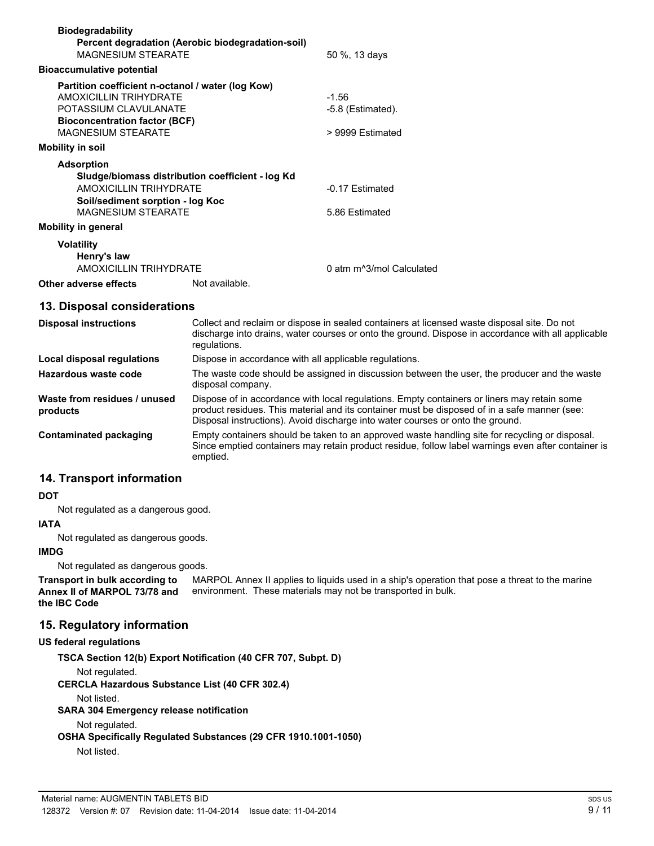| <b>Biodegradability</b><br><b>MAGNESIUM STEARATE</b>                                                                                                                             | Percent degradation (Aerobic biodegradation-soil)                                                                                                                                                                                                                             | 50 %, 13 days                                      |
|----------------------------------------------------------------------------------------------------------------------------------------------------------------------------------|-------------------------------------------------------------------------------------------------------------------------------------------------------------------------------------------------------------------------------------------------------------------------------|----------------------------------------------------|
| <b>Bioaccumulative potential</b>                                                                                                                                                 |                                                                                                                                                                                                                                                                               |                                                    |
| Partition coefficient n-octanol / water (log Kow)<br><b>AMOXICILLIN TRIHYDRATE</b><br>POTASSIUM CLAVULANATE<br><b>Bioconcentration factor (BCF)</b><br><b>MAGNESIUM STEARATE</b> |                                                                                                                                                                                                                                                                               | $-1.56$<br>$-5.8$ (Estimated).<br>> 9999 Estimated |
| <b>Mobility in soil</b>                                                                                                                                                          |                                                                                                                                                                                                                                                                               |                                                    |
| <b>Adsorption</b><br><b>AMOXICILLIN TRIHYDRATE</b><br>Soil/sediment sorption - log Koc<br><b>MAGNESIUM STEARATE</b><br><b>Mobility in general</b>                                | Sludge/biomass distribution coefficient - log Kd                                                                                                                                                                                                                              | -0.17 Estimated<br>5.86 Estimated                  |
| <b>Volatility</b><br>Henry's law<br><b>AMOXICILLIN TRIHYDRATE</b>                                                                                                                |                                                                                                                                                                                                                                                                               | 0 atm m^3/mol Calculated                           |
| Other adverse effects<br>Not available.                                                                                                                                          |                                                                                                                                                                                                                                                                               |                                                    |
| 13. Disposal considerations                                                                                                                                                      |                                                                                                                                                                                                                                                                               |                                                    |
| <b>Disposal instructions</b>                                                                                                                                                     | Collect and reclaim or dispose in sealed containers at licensed waste disposal site. Do not<br>discharge into drains, water courses or onto the ground. Dispose in accordance with all applicable<br>regulations.                                                             |                                                    |
| Local disposal regulations                                                                                                                                                       | Dispose in accordance with all applicable regulations.                                                                                                                                                                                                                        |                                                    |
| Hazardous waste code                                                                                                                                                             | The waste code should be assigned in discussion between the user, the producer and the waste<br>disposal company.                                                                                                                                                             |                                                    |
| Waste from residues / unused<br>products                                                                                                                                         | Dispose of in accordance with local regulations. Empty containers or liners may retain some<br>product residues. This material and its container must be disposed of in a safe manner (see:<br>Disposal instructions). Avoid discharge into water courses or onto the ground. |                                                    |

**Contaminated packaging** Empty containers should be taken to an approved waste handling site for recycling or disposal. Since emptied containers may retain product residue, follow label warnings even after container is emptied.

### **14. Transport information**

#### **DOT**

Not regulated as a dangerous good.

#### **IATA** Not regulated as dangerous goods.

**IMDG**

Not regulated as dangerous goods.

MARPOL Annex II applies to liquids used in a ship's operation that pose a threat to the marine environment. These materials may not be transported in bulk. **Transport in bulk according to Annex II of MARPOL 73/78 and the IBC Code**

### **15. Regulatory information**

#### **US federal regulations**

**TSCA Section 12(b) Export Notification (40 CFR 707, Subpt. D)** Not regulated. **CERCLA Hazardous Substance List (40 CFR 302.4)** Not listed. **SARA 304 Emergency release notification** Not regulated. **OSHA Specifically Regulated Substances (29 CFR 1910.1001-1050)** Not listed.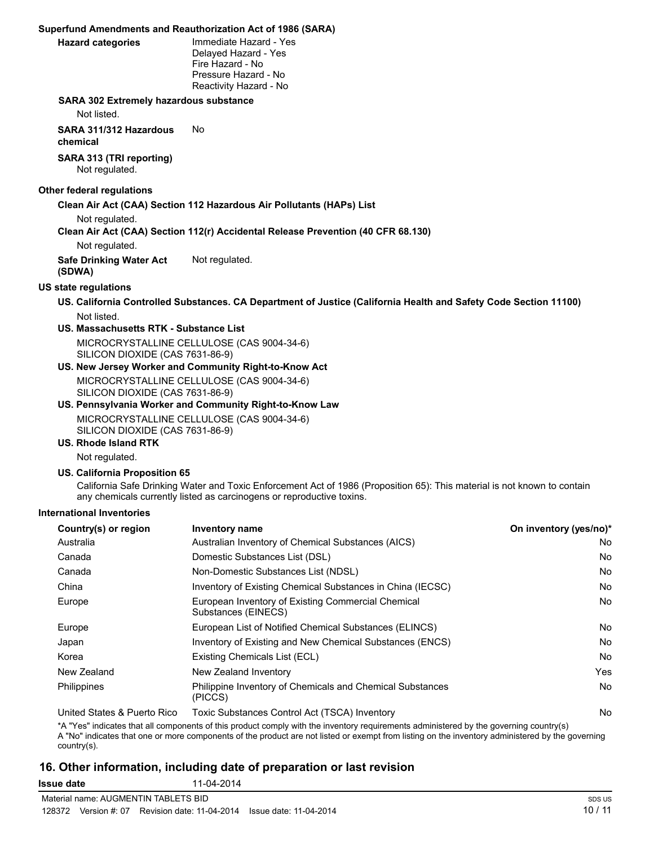#### **Superfund Amendments and Reauthorization Act of 1986 (SARA)**

| <b>Hazard categories</b> |  |
|--------------------------|--|

**Immediate Hazard - Yes** Delayed Hazard - Yes Fire Hazard - No Pressure Hazard - No Reactivity Hazard - No

#### **SARA 302 Extremely hazardous substance**

Not listed.

**SARA 311/312 Hazardous** No

**chemical**

**SARA 313 (TRI reporting)** Not regulated.

#### **Other federal regulations**

**Clean Air Act (CAA) Section 112 Hazardous Air Pollutants (HAPs) List**

Not regulated.

**Clean Air Act (CAA) Section 112(r) Accidental Release Prevention (40 CFR 68.130)**

Not regulated.

**Safe Drinking Water Act (SDWA)** Not regulated.

#### **US state regulations**

- **US. California Controlled Substances. CA Department of Justice (California Health and Safety Code Section 11100)** Not listed.
- **US. Massachusetts RTK Substance List** MICROCRYSTALLINE CELLULOSE (CAS 9004-34-6) SILICON DIOXIDE (CAS 7631-86-9)
- **US. New Jersey Worker and Community Right-to-Know Act** MICROCRYSTALLINE CELLULOSE (CAS 9004-34-6) SILICON DIOXIDE (CAS 7631-86-9)
- **US. Pennsylvania Worker and Community Right-to-Know Law** MICROCRYSTALLINE CELLULOSE (CAS 9004-34-6) SILICON DIOXIDE (CAS 7631-86-9)

#### **US. Rhode Island RTK**

Not regulated.

#### **US. California Proposition 65**

California Safe Drinking Water and Toxic Enforcement Act of 1986 (Proposition 65): This material is not known to contain any chemicals currently listed as carcinogens or reproductive toxins.

#### **International Inventories**

| Country(s) or region         | <b>Inventory name</b>                                                     | On inventory (yes/no)* |
|------------------------------|---------------------------------------------------------------------------|------------------------|
| Australia                    | Australian Inventory of Chemical Substances (AICS)                        | No.                    |
| Canada                       | Domestic Substances List (DSL)                                            | No.                    |
| Canada                       | Non-Domestic Substances List (NDSL)                                       | No.                    |
| China                        | Inventory of Existing Chemical Substances in China (IECSC)                | No.                    |
| Europe                       | European Inventory of Existing Commercial Chemical<br>Substances (EINECS) | No.                    |
| Europe                       | European List of Notified Chemical Substances (ELINCS)                    | No.                    |
| Japan                        | Inventory of Existing and New Chemical Substances (ENCS)                  | No.                    |
| Korea                        | Existing Chemicals List (ECL)                                             | <b>No</b>              |
| New Zealand                  | New Zealand Inventory                                                     | Yes                    |
| Philippines                  | Philippine Inventory of Chemicals and Chemical Substances<br>(PICCS)      | <b>No</b>              |
| Lleited Ctates & Duarte Dies | $Tavi2$ Cubetanese Control A of $(TCCA)$ Inventory                        | $N_{\alpha}$           |

United States & Puerto Rico Toxic Substances Control Act (TSCA) Inventory Noted The Noted Act (TSCA) Inventory

\*A "Yes" indicates that all components of this product comply with the inventory requirements administered by the governing country(s) A "No" indicates that one or more components of the product are not listed or exempt from listing on the inventory administered by the governing country(s).

### **16. Other information, including date of preparation or last revision**

**Issue date** 11-04-2014